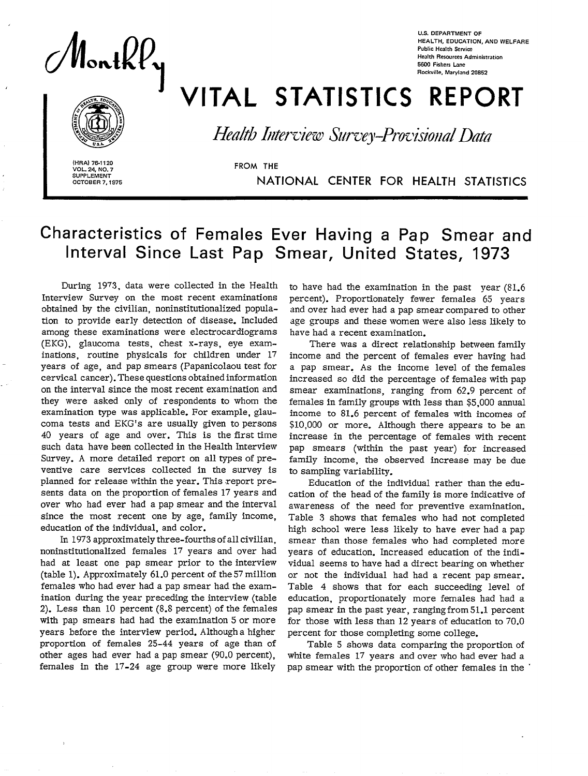NontkP,

U.S. **DEPARTMENT OF HEALTH, EDUCATION, AND WELFARE Public Health Semim Health Resources Administration 5W0 Fishers Lane Rockville, Maryland 20652** 

**Health Interview Survey-Provisional Data** 

VITAL STATISTICS REPORT

(HRA) 76-1120<br>VOL. 24. NO. 7<br>
STROM THE **VOL. 24, NO. 7 SUPPLEMENT** OCTOBER 7.1975

**OCTOBER 731975** NATIONAL CENTER FOR HEALTH STATISTICS

# **Characteristics of Females Ever Having a Pap Smear and Interval Since Last Pap Smear, United States, 1973**

During 1973, data were collected in the Health Interview Survey on the most recent examinations obtained by the civilian, noninstitutionalized population to provide early detection of disease. Included among these examinations were electrocardiograms (EKG), glaucoma tests, chest x-rays, eye examinations, routine physicals for children under 17 years of age, and pap smears (Papanicolaou test for cervical cancer). These questions obtained information on the interval since the most recent examination and they were asked only of respondents to whom the examination type was applicable. For example, glaucoma tests and EKG's are usually given to persons 40 years of age and over. This is the first time such data have been collected in the Health Interview Survey. A more detailed report on all types of preventive care services collected in the survey is planned for release within the year. This report presents data on the proportion of females 17 years and over who had ever had a pap smear and the interval since the most recent one by age, family income, education of the individual, and color.

In 1973 approximately three-fourths of all civilian, noninstitutionalized females 17 years and over had had at least one pap smear prior to the interview (table 1). Approximately 61.0 percent of the 57 million females who had ever had a pap smear had the examination during the year preceding the interview (table 2). Less than 10 percent (8.S percent) of the females with pap smears had had the examination 5 or more years before the interview period. Although a higher proportion of females 25-44 years of age than of other ages had ever had a pap smear (90.0 percent), females in the 17-24 age group were more likely to have had the examination in the past year (81.6 percent). Proportionately fewer females 65 years and over had ever had a pap smear compared to other age groups and these women were also less likely to have had a recent examination.

There was a direct relationship between family income and the percent of females ever having had a pap smear. As the income level of the females increased so did the percentage of females with pap smear examinations, ranging from  $62.9$  percent of females in family groups with less than \$5,000 annual income to 81.6 percent of females with incomes of \$10,000 or more. Although there appears to be an increase in the percentage of females with recent pap smears (within the past year) for increased family income, the observed increase may be due to sampling variability.

Education of the individual rather than the education of the head of the family is more indicative of awareness of the need for preventive examination. Table 3 shows that females who had not completed high school were less likely to have ever had a pap smear than those females who had completed more years of education. Increased education of the individual seems to have had a direct bearing on whether or not the individual had had a recent pap smear. Table 4 shows that for each succeeding level of education, proportionately more females had had a pap smear in the past year, ranging from 51.1 percent for those with less than 12 years of education to 70.0 percent for those completing some college.

Table 5 shows data comparing the proportion of white females 17 years and over who had ever had a pap smear with the proportion of other females in the '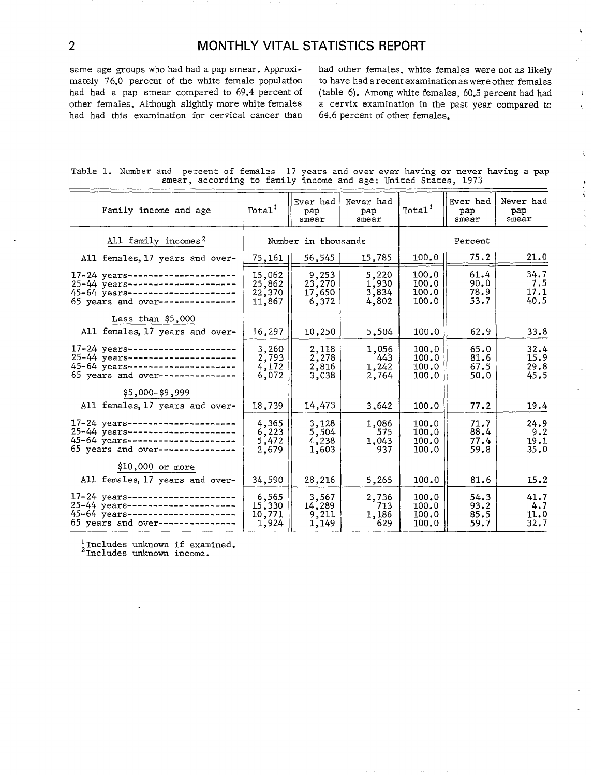had had this examination for cervical cancer than

same age groups who had had a pap smear. Approxi-<br>mately 76.0 percent of the white female population to have had a recent examination as were other females mately 76.0 percent of the white female population to have had a recent examination as were other females (table 6). Among white females, 60.5 percent had had i other females. Although slightly more white females a cervix examination in the past year compared to ... had had this examination for cervical cancer than 64.6 percent of other females.

 $\mathbf{i}$ 

 $\mathbf{r}$ 

Ĩ.  $\mathcal{L}$ 

 $\hat{\gamma}$ 

| Table 1. Number and percent of females 17 years and over ever having or never having a pap |  |                                                                |  |  |  |  |  |  |  |
|--------------------------------------------------------------------------------------------|--|----------------------------------------------------------------|--|--|--|--|--|--|--|
|                                                                                            |  | smear, according to family income and age: United States, 1973 |  |  |  |  |  |  |  |

| Family income and age                                                                                                                                  | Total <sup>T</sup>                   | Ever had<br>рар<br>smear           | Never had<br>pap<br>smear        | Total <sup>1</sup>               | Ever had<br>рар<br>smear     | Never had<br>pap<br>smear    |
|--------------------------------------------------------------------------------------------------------------------------------------------------------|--------------------------------------|------------------------------------|----------------------------------|----------------------------------|------------------------------|------------------------------|
| All family incomes <sup>2</sup>                                                                                                                        |                                      | Number in thousands                |                                  |                                  | Percent                      |                              |
| All females, 17 years and over-                                                                                                                        | $75,161$                             | 56,545                             | 15,785                           | $100.0$                          | 75.2                         | 21.0                         |
| 17-24 years---------------------<br>25-44 years---------------------<br>45-64 years ---------------------<br>65 years and over---------------          | 15,062<br>25,862<br>22,370<br>11,867 | 9,253<br>23,270<br>17,650<br>6,372 | 5,220<br>1,930<br>3,834<br>4,802 | 100.0<br>100.0<br>100.0<br>100.0 | 61.4<br>90.0<br>78.9<br>53.7 | 34.7<br>7.5<br>17.1<br>40.5  |
| Less than $$5,000$<br>All females, 17 years and over-                                                                                                  | 16,297                               | 10,250                             | 5,504                            | 100.0                            | 62.9                         | 33.8                         |
| $17 - 24$ years---------------------<br>25-44 years ----------------------<br>45-64 years ---------------------<br>65 years and over---------------    | 3,260<br>2,793<br>4,172<br>6,072     | 2,118<br>2,278<br>2,816<br>3,038   | 1,056<br>443<br>1,242<br>2,764   | 100.0<br>100.0<br>100.0<br>100.0 | 65.0<br>81.6<br>67.5<br>50.0 | 32.4<br>15.9<br>29.8<br>45.5 |
| \$5,000-\$9,999<br>All females, 17 years and over-                                                                                                     | 18,739                               | 14,473                             | 3,642                            | 100.0                            | 77.2                         | 19.4                         |
| $17 - 24$ years---------------------<br>$25 - 44$ years ---------------------<br>45-64 years ---------------------<br>65 years and over--------------- | 4,365<br>6,223<br>5,472<br>2,679     | 3,128<br>5,504<br>4,238<br>1,603   | 1,086<br>575<br>1,043<br>937     | 100.0<br>100.0<br>100.0<br>100.0 | 71.7<br>88.4<br>77.4<br>59.8 | 24.9<br>9.2<br>19.1<br>35.0  |
| $$10,000$ or more                                                                                                                                      |                                      |                                    |                                  |                                  |                              |                              |
| All females, 17 years and over-                                                                                                                        | 34,590                               | 28,216                             | 5,265                            | 100.0                            | 81.6                         | 15.2                         |
| 17-24 years---------------------<br>$25 - 44$ years---------------------<br>45-64 years---------------------<br>65 years and over---------------       | 6,565<br>15,330<br>10,771<br>1,924   | 3,567<br>14,289<br>9,211<br>1,149  | 2,736<br>713<br>1,186<br>629     | 100.0<br>100.0<br>100.0<br>100.0 | 54.3<br>93.2<br>85.5<br>59.7 | 41.7<br>4.7<br>11.0<br>32.7  |

**l~ncludes Unknom** if examined.

21ncludes unknown income.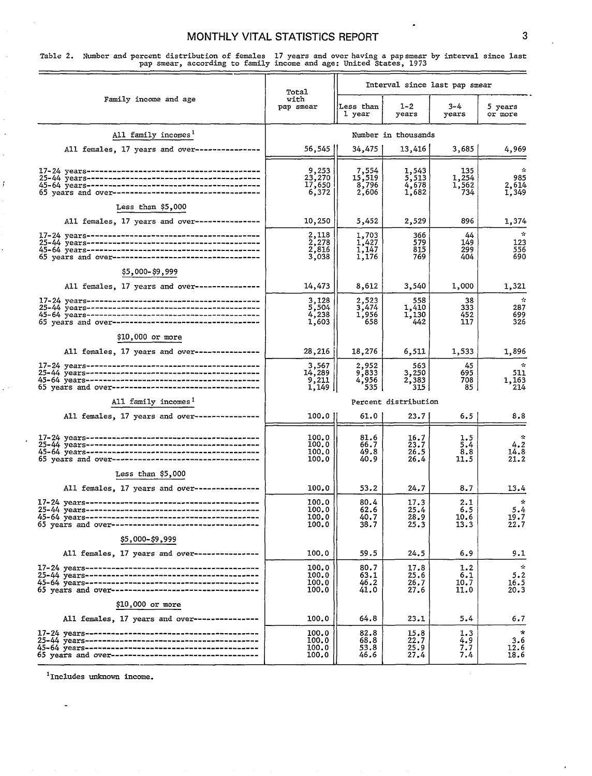Table 2. Number and percent distribution of females 17 years and over having a pap smear by interval since last pap smear, according to family income and age: United States, 1973

|                                                      |                                                                  |                                   |                                  | Interval since last pap smear |                                                  |
|------------------------------------------------------|------------------------------------------------------------------|-----------------------------------|----------------------------------|-------------------------------|--------------------------------------------------|
| Family income and age                                | Total<br>with<br>pap smear                                       | Less than<br>l year               | $1 - 2$<br>years                 | $3 - 4$<br>years              | 5 years<br>or more                               |
| All family incomes <sup>1</sup>                      |                                                                  |                                   | Number in thousands              |                               |                                                  |
| All females, 17 years and over---------------        | 56,545                                                           | 34,475                            | 13,416                           | 3,685                         | 4,969                                            |
|                                                      | 9,253<br>23,270<br>17,650<br>6,372                               | 7,554<br>15,519<br>8,796<br>2,606 | 1,543<br>5,513<br>4,678<br>1,682 | 135<br>1,254<br>1,562<br>734  | 985<br>2,614<br>1,349                            |
| Less than \$5,000                                    |                                                                  |                                   |                                  |                               |                                                  |
| All females, 17 years and over----------------       | 10,250                                                           | 5,452                             | 2,529                            | 896                           | 1,374                                            |
| 65 years and over----------------------------------  | 2,118<br>2,278<br>2,816<br>3,038                                 | 1,703<br>1,427<br>1,147<br>1,176  | 366<br>579<br>815<br>769         | 44<br>149<br>299<br>404       | $\mathcal{R}^{\mathcal{A}}$<br>123<br>556<br>690 |
| \$5,000-\$9,999                                      |                                                                  |                                   |                                  |                               |                                                  |
| All females, 17 years and over---------------        | 14,473                                                           | 8,612                             | 3,540                            | 1,000                         | 1,321                                            |
| 65 years and over----------------------------------- | 3,128<br>5,504<br>4,238<br>1,603                                 | 2,523<br>3,474<br>1,956<br>658    | 558<br>1,410<br>1,130<br>442     | 38<br>333<br>452<br>117       | $\sim$<br>287<br>699<br>326                      |
| \$10,000 or more                                     |                                                                  |                                   |                                  |                               |                                                  |
| All females, 17 years and over---------------        | 28,216                                                           | 18,276                            | 6,511                            | 1,533                         | 1,896                                            |
|                                                      | 3,567<br>14,289<br>$\begin{array}{c} 9,211 \\ 1,149 \end{array}$ | 2,952<br>9,833<br>4,956<br>535.   | 563<br>3,250<br>2,383<br>315     | 45<br>695<br>708<br>85        | $\sim$<br>511<br>1,163<br>214                    |
| All family incomes <sup>1</sup>                      |                                                                  |                                   | Percent distribution             |                               |                                                  |
| All females, 17 years and over---------------        | 100.0 I                                                          | 61.0                              | 23.7                             | 6.5                           | 8.8                                              |
| 65 years and over----------------------------------- | 100.0<br>100.0<br>100.0<br>100.0                                 | 81.6<br>66.7<br>49.8<br>40.9      | 16.7<br>23.7<br>26.5<br>26.4     | 1.5<br>5.4<br>8.8<br>11.5     | $\sim$<br>4.2<br>14.8<br>21.2                    |
| Less than \$5,000                                    |                                                                  |                                   |                                  |                               |                                                  |
| All females, 17 years and over---------------        | 100.0                                                            | 53.2                              | 24.7                             | 8.7                           | 13.4                                             |
|                                                      | 100.0<br>100.0<br>100.0<br>100.0                                 | 80.4<br>62.6<br>40.7<br>38.7      | 17.3<br>25.4<br>28.9<br>25.3     | 2.1<br>6.5<br>10.6<br>13.3    | $\star$<br>5.4<br>19.7<br>22.7                   |
| \$5,000-\$9,999                                      |                                                                  |                                   |                                  |                               |                                                  |
| All females, 17 years and over---------------        | 100.0                                                            | 59.5                              | 24.5                             | 6.9                           | 9.1                                              |
| 65 years and over----------------------------------  | 100.0<br>100.0<br>100.0<br>100.0                                 | 80.7<br>63.1<br>46.2<br>41.0      | 17.8<br>25.6<br>26.7<br>27.6     | 1.2<br>6.1<br>10.7<br>11.0    | $\mathcal{R}$<br>5.2<br>16.5<br>20.3             |
| \$10,000 or more                                     |                                                                  |                                   |                                  |                               |                                                  |
| All females, 17 years and over----------------       | 100.0                                                            | 64.8                              | 23.1                             | 5.4                           | 6.7                                              |
| 65 years and over----------------------------------  | 100.0<br>100.0<br>100.0<br>100.0                                 | 82.8<br>68.8<br>53.8<br>46.6      | 15.8<br>22.7<br>$^{25.9}_{27.4}$ | 1.3<br>4.9<br>7.7<br>7.4      | $\star$<br>3.6<br>12.6<br>18.6                   |

 $1$ Includes unknown income.

 $\overline{a}$ 

f

.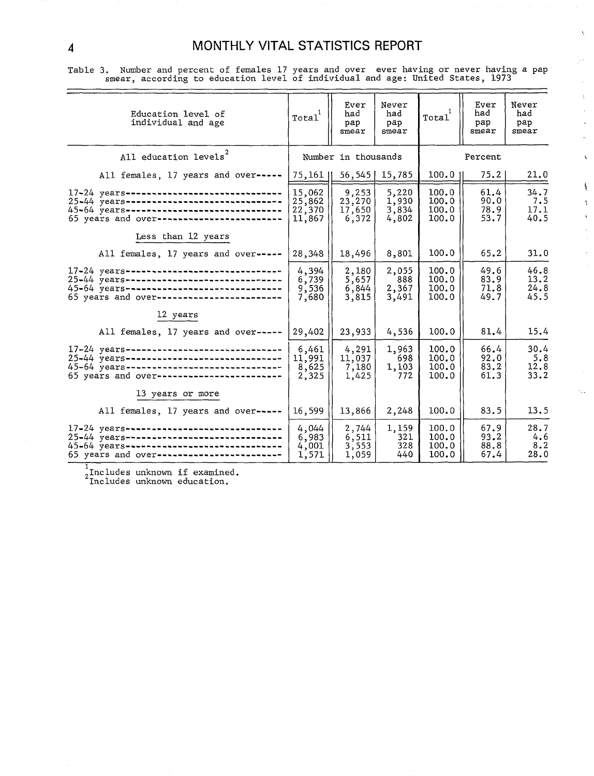$\hat{\mathbf{v}}_k$ 

у£,

Table 3. Number and percent of females 17 years and over ever having or never having a pap smear, according to education level of individual and age: United States, 1973

| smear, according to education level of individual and age: United States, 1973                                                                                                         |                                      |                                    |                                  |                                  |                              |                              |                         |
|----------------------------------------------------------------------------------------------------------------------------------------------------------------------------------------|--------------------------------------|------------------------------------|----------------------------------|----------------------------------|------------------------------|------------------------------|-------------------------|
| Education level of<br>individual and age                                                                                                                                               | Total                                | Ever<br>had<br>pap<br>smear        | Never<br>had<br>pap<br>smear     | Total                            | Ever<br>had<br>pap<br>smear  | Never<br>had<br>рар<br>smear |                         |
| All education levels <sup>2</sup>                                                                                                                                                      |                                      | Number in thousands                |                                  |                                  | Percent                      |                              | $\overline{\mathbf{A}}$ |
| All females, 17 years and over-----                                                                                                                                                    | $75,161$                             |                                    | $56,545$   15,785                | 100.01                           | 75.2                         | 21.0                         |                         |
| 17-24 years--------------------------------<br>25-44 years-------------------------------<br>45-64 years--------------------------------<br>65 years and over------------------------- | 15,062<br>25,862<br>22,370<br>11,867 | 9,253<br>23,270<br>17,650<br>6,372 | 5,220<br>1,930<br>3,834<br>4,802 | 100.0<br>100.0<br>100.0<br>100.0 | 61.4<br>90.0<br>78.9<br>53.7 | 34.7<br>7.5<br>17.1<br>40.5  |                         |
| Less than 12 years                                                                                                                                                                     |                                      |                                    |                                  |                                  |                              |                              |                         |
| All females, 17 years and over-----                                                                                                                                                    | 28,348                               | 18,496                             | 8,801                            | 100.0                            | 65.2                         | 31.0                         |                         |
| 17-24 years-------------------------------<br>25-44 years------------------------------<br>45-64 years-------------------------------<br>65 years and over------------------------     | 4,394<br>6,739<br>9,536<br>7,680     | 2,180<br>5,657<br>6,844<br>3,815   | 2,055<br>888<br>2,367<br>3,491   | 100.0<br>100.0<br>100.0<br>100.0 | 49.6<br>83.9<br>71.8<br>49.7 | 46.8<br>13.2<br>24.8<br>45.5 |                         |
| 12 years                                                                                                                                                                               |                                      |                                    |                                  |                                  |                              |                              |                         |
| All females, 17 years and over-----                                                                                                                                                    | 29,402                               | 23,933                             | 4,536                            | 100.0                            | 81.4                         | 15.4                         |                         |
| 17-24 years-------------------------------<br>25-44 years-------------------------------<br>45-64 years------------------------------<br>65 years and over----------------------       | 6,461<br>11,991<br>8,625<br>2,325    | 4,291<br>11,037<br>7,180<br>1,425  | 1,963<br>698<br>1,103<br>772     | 100.0<br>100.0<br>100.0<br>100.0 | 66.4<br>92.0<br>83.2<br>61.3 | 30.4<br>5.8<br>12.8<br>33.2  |                         |
| 13 years or more                                                                                                                                                                       |                                      |                                    |                                  |                                  |                              |                              |                         |
| All females, 17 years and over-----                                                                                                                                                    | 16,599                               | 13,866                             | 2,248                            | 100.0                            | 83.5                         | 13.5                         |                         |
| 17-24 years-------------------------------<br>25-44 years-------------------------------<br>45-64 years--------------------------------<br>65 years and over-------------------------  | 4,044<br>6,983<br>4,001<br>1,571     | 2,744<br>6,511<br>3,553<br>1,059   | 1,159<br>321<br>328<br>440       | 100.0<br>100.0<br>100.0<br>100.0 | 67.9<br>93.2<br>88.8<br>67.4 | 28.7<br>4.6<br>8.2<br>28.0   |                         |

1<br><sub>2</sub>Includes unknown if examined.

Includes unknown education.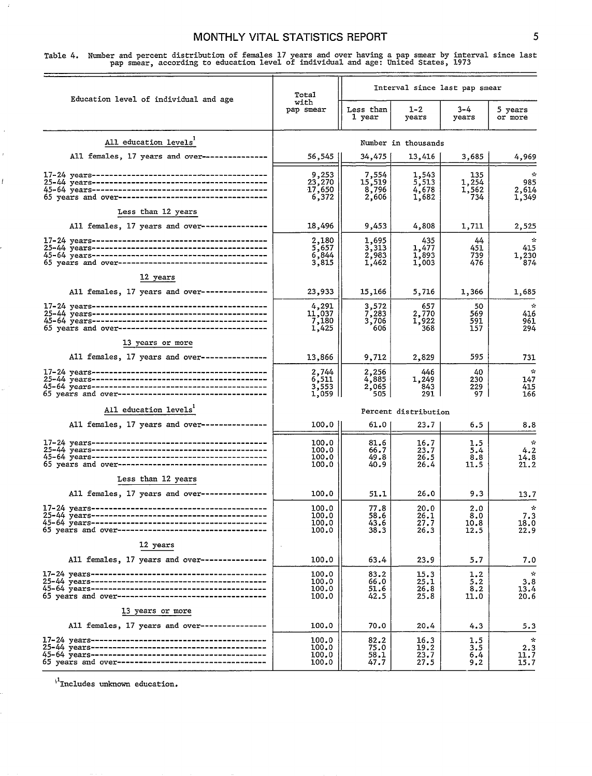#### MONTHLY VITAL STATISTICS REPORT **SECULIARY SETTING**

Table 4. Number and percent distribution of females 17 years and over having a pap smear by interval since last pap smear, according to education level of individual and age: United States, 1973

| Education level of individual and age                | Total                               |                                   | Interval since last pap smear    |                              |                                      |
|------------------------------------------------------|-------------------------------------|-----------------------------------|----------------------------------|------------------------------|--------------------------------------|
|                                                      | with<br>pap smear                   | Less than<br>1 year               | 1-2<br>years                     | 3–4<br>years                 | 5 years<br>or more                   |
| All education levels <sup>1</sup>                    |                                     |                                   | Number in thousands              |                              |                                      |
| All females, 17 years and over---------------        | 56,545                              | 34,475                            | 13,416                           | 3,685                        | 4,969                                |
| 65 years and over----------------------------------- | 9,253<br>23,270<br>17,650<br>6,372  | 7,554<br>15,519<br>8,796<br>2,606 | 1,543<br>5,513<br>4,678<br>1,682 | 135<br>1,254<br>1,562<br>734 | ÷<br>985<br>2,614<br>1,349           |
| Less than 12 years                                   |                                     |                                   |                                  |                              |                                      |
| All females, 17 years and over---------------        | 18,496                              | 9,453                             | 4,808                            | 1,711                        | 2,525                                |
| 65 years and over----------------------------------- | 2,180<br>5,657<br>6,844<br>3,815    | 1,695<br>3,313<br>2,983<br>1,462  | 435<br>1,477<br>1,893<br>1,003   | 44<br>451<br>739<br>476      | $\sim$<br>415<br>1,230<br>874        |
| 12 years                                             |                                     |                                   |                                  |                              |                                      |
| All females. 17 years and over---------------        | 23,933                              | 15,166                            | 5,716                            | 1,366                        | 1,685                                |
| 65 years and over----------------------------------- | 4,291<br>11,037<br>7,180<br>1,425   | 3,572<br>7,283<br>3,706<br>606    | 657<br>2,770<br>1,922<br>368     | 50<br>569<br>591<br>157      | $\mathcal{L}$<br>416<br>961<br>294   |
| 13 years or more                                     |                                     |                                   |                                  |                              |                                      |
| All females, 17 years and over---------------        | 13,866                              | 9,712                             | 2,829                            | 595                          | 731                                  |
|                                                      | 2,744<br>6,511<br>3,553<br>1,059 II | 2,256<br>4,885<br>2,065<br>505    | 446<br>1,249<br>843<br>291       | 40<br>230<br>229<br>97       | $\sim$<br>147<br>415<br>166          |
| All education levels <sup>1</sup>                    |                                     |                                   | Percent distribution             |                              |                                      |
| All females, 17 years and over---------------        | 100.0                               | 61.0                              | 23.7                             | 6.5                          | 8.8                                  |
|                                                      | 100.0<br>100.0<br>100.0<br>100.0    | 81.6<br>66.7<br>49.8<br>40.9      | 16.7<br>23.7<br>26.5<br>26.4     | 1.5<br>5.4<br>8.8<br>11.5    | $\mathcal{L}$<br>4.2<br>14.8<br>21.2 |
| Less than 12 years                                   |                                     |                                   |                                  |                              |                                      |
| All females, 17 years and over---------------        | 100.0                               | 51.1                              | 26.0                             | 9.3                          | 13.7                                 |
|                                                      | 100.0<br>100.0<br>100.0<br>100.0    | 77.8<br>58.6<br>43.6<br>38.3      | 20.0<br>26.1<br>27.7<br>26.3     | 2.0<br>8.0<br>10.8<br>12.5   | ÷<br>7.3<br>18.0<br>22.9             |
| 12 years                                             |                                     |                                   |                                  |                              |                                      |
| All females, 17 years and over---------------        | 100.0                               | 63.4                              | 23.9                             | 5.7                          | 7.0                                  |
|                                                      | 100.0<br>100.0<br>100.0<br>100.0    | 83.2<br>66.0<br>51.6<br>42.5      | 15.3<br>25.1<br>26.8<br>25.8     | 1.2<br>5.2<br>8.2<br>11.0    | $\sim$<br>3.8<br>13.4<br>20.6        |
| 13 years or more                                     |                                     |                                   |                                  |                              |                                      |
| All females, 17 years and over----------------       | 100.0                               | 70.0                              | 20.4                             | 4.3                          | 5.3                                  |
| 65 years and over----------------------------------  | 100.0<br>100.0<br>100.0<br>100.0    | 82.2<br>75.0<br>58.1<br>47.7      | 16.3<br>19.2<br>23.7<br>27.5     | 1.5<br>3.5<br>6,4<br>9.2     | $\mathcal{R}$<br>2.3<br>11.7<br>15.7 |

 $\mu^1$  Includes unknown education.

 $\overline{1}$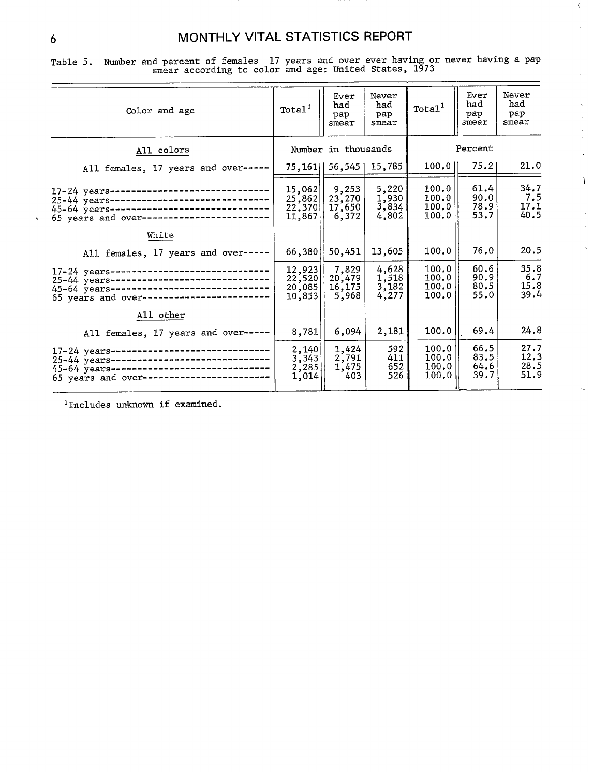$\hat{V}$ ç.

> k.  $\hat{\mathcal{A}}$

> > $\bar{\Omega}$

 $\mathbf{I}$ 

 $\ddot{\phantom{a}}$ 

Ċ.

Table 5. Number and percent of females 17 years and over ever having or never having a pap smear according to color and age: United States, 1973

| Color and age                                                                                                                                                                       | Total <sup>1</sup>                       | Ever<br>had<br>рар<br>smear         | Never<br>had<br>рар<br>smear            | Total <sup>1</sup>               | Ever<br>had<br>рар<br>smear  | Never<br>had<br>рар<br>smear |
|-------------------------------------------------------------------------------------------------------------------------------------------------------------------------------------|------------------------------------------|-------------------------------------|-----------------------------------------|----------------------------------|------------------------------|------------------------------|
| All colors                                                                                                                                                                          |                                          | Number in thousands                 |                                         |                                  | Percent                      |                              |
| All females, 17 years and over-----                                                                                                                                                 |                                          | 75, 161   56, 545   15, 785         |                                         | 100.011                          | 75.21                        | 21.0                         |
| 17-24 years-------------------------------<br>25-44 years------------------------------<br>45-64 years-------------------------------<br>65 years and over------------------------- | 15,062<br>25,862<br>22,370<br>11,867     | 9,253 <br>23,270<br>17,650<br>6,372 | 5,220<br>1,930<br>3,834<br>4,802        | 100.0<br>100.0<br>100.0<br>100.0 | 61.4<br>90.0<br>78.9<br>53.7 | 34.7<br>7.5<br>17.1<br>40.5  |
| White                                                                                                                                                                               |                                          |                                     |                                         |                                  |                              |                              |
| All females, 17 years and over-----                                                                                                                                                 | 66,380                                   | 50,451                              | 13,605                                  | 100.0                            | 76.0                         | 20.5                         |
| 17-24 years-------------------------------<br>25-44 years-----------------------------<br>45-64 years-------------------------------<br>65 years and over-------------------------  | 12,923<br>$22,520$  <br>20,085<br>10,853 | 7,829<br>20,479<br>16, 175<br>5,968 | $\frac{4,628}{1,518}$<br>3,182<br>4,277 | 100.0<br>100.0<br>100.0<br>100.0 | 60.6<br>90.9<br>80.5<br>55.0 | 35.8<br>6.7<br>15.8<br>39.4  |
| All other                                                                                                                                                                           |                                          |                                     |                                         |                                  |                              |                              |
| All females, 17 years and over-----                                                                                                                                                 | 8,781                                    | 6,094                               | 2,181                                   | 100.0                            | 69.4                         | 24.8                         |
| 17-24 years-------------------------------<br>25-44 years-------------------------------<br>45-64 years-----------------------------<br>65 years and over------------------------   | 2,140<br>3,343<br>2,285<br>1,014         | 1,424<br>2,791<br>1,475<br>403      | 592<br>411<br>652<br>526                | 100.0<br>100.0<br>100.0<br>100.0 | 66.5<br>83.5<br>64.6<br>39.7 | 27.7<br>12.3<br>28.5<br>51.9 |

<sup>1</sup>Includes unknown if examined.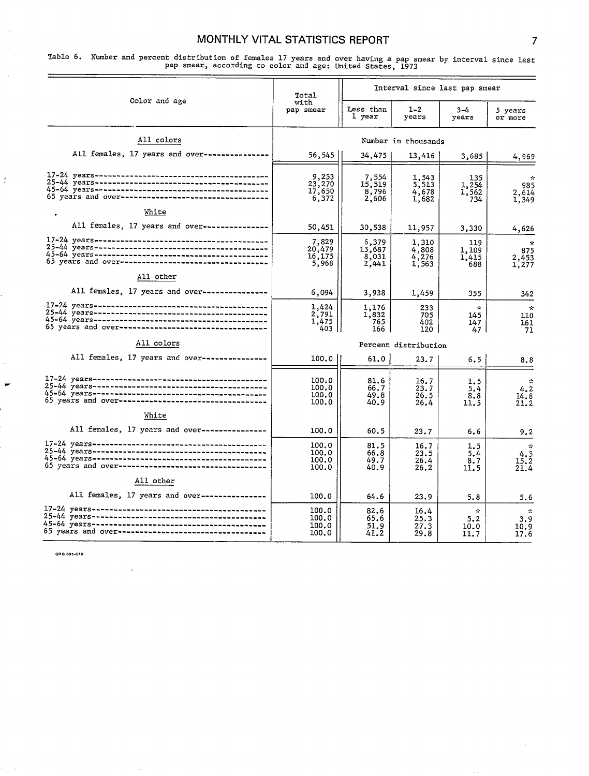Table 6. Number and percent distribution of females 17 years and over having a pap smear by interval since last pap smear, according to color and age: United states, Ig73

|                                                        | Total                              | Interval since last pap smear     |                                    |                                                    |                                                   |  |  |
|--------------------------------------------------------|------------------------------------|-----------------------------------|------------------------------------|----------------------------------------------------|---------------------------------------------------|--|--|
| Color and age                                          | with<br>pap smear                  | Less than<br>l year               | $1 - 2$<br>years                   | $3 - 4$<br>years                                   | 5 years<br>or more                                |  |  |
| All colors                                             |                                    |                                   | Number in thousands                |                                                    |                                                   |  |  |
| All females, 17 years and over----------------         | 56,545                             | 34,475                            | 13,416                             | 3,685                                              | 4,969                                             |  |  |
| 65 years and over-----------------------------------   | 9,253<br>23,270<br>17,650<br>6,372 | 7,554<br>15,519<br>8,796<br>2,606 | 1,543<br>5,513<br>4,678<br>1,682   | 135<br>1,254<br>1,562<br>734                       | ÷.<br>985<br>2,614<br>1,349                       |  |  |
| White                                                  |                                    |                                   |                                    |                                                    |                                                   |  |  |
| All females, 17 years and over---------------          | 50,451                             | 30,538                            | 11,957                             | 3,330                                              | 4,626                                             |  |  |
|                                                        | 7,829<br>20,479<br>16,175<br>5,968 | 6,379<br>13,687<br>8,031<br>2,441 | 1,310<br>4,808<br>$4,276$<br>1,563 | 119<br>1,109<br>1.415<br>688                       | $\mathcal{R}$<br>875<br>2,453<br>1,277            |  |  |
| All other                                              |                                    |                                   |                                    |                                                    |                                                   |  |  |
| All females, 17 years and over---------------          | 6,094                              | 3,938                             | 1,459                              | 355                                                | 342                                               |  |  |
| 65 years and over-----------------------------------   | 1,424<br>2,791<br>1,475<br>403 I   | 1,176<br>1,832<br>765<br>166      | 233<br>705<br>402<br>120           | $\mathcal{R}$<br>145<br>147<br>47                  | $\sim$<br>110<br>161<br>71                        |  |  |
| All colors                                             |                                    |                                   | Percent distribution               |                                                    |                                                   |  |  |
| All females, 17 years and over---------------          | 100.0                              | 61.0                              | 23.7                               | 6.5                                                | 8.8                                               |  |  |
| 65 years and over-----------------------------------   | 100.0<br>100.0<br>100.0<br>100.0   | 81.6<br>66.7<br>49.8<br>40.9      | 16.7<br>23.7<br>26.5<br>26.4       | 1.5<br>5.4<br>8.8<br>11.5                          | $\mathcal{R}$<br>4.2<br>14.8<br>21.2              |  |  |
| White<br>All females, 17 years and over--------------- |                                    |                                   |                                    |                                                    |                                                   |  |  |
|                                                        | 100.0                              | 60.5                              | 23.7                               | 6.6                                                | 9.2                                               |  |  |
| 65 years and over-----------------------------------   | 100.0<br>100.0<br>100.0<br>100.0   | 81.5<br>66.8<br>49.7<br>40.9      | 16.7<br>23.5<br>26.4<br>26.2       | 1.5<br>5.4<br>3.7<br>11.5                          | $\mathcal{R}$<br>4.3<br>15.2<br>21.4              |  |  |
| All other                                              |                                    |                                   |                                    |                                                    |                                                   |  |  |
| All females, 17 years and over---------------          | 100.0                              | 64.6                              | 23.9                               | 5.8                                                | 5.6                                               |  |  |
|                                                        | 100.0<br>100.0<br>100.0<br>100.0   | 82.6<br>65.6<br>51.9<br>41.2      | 16.4<br>25.3<br>27.3<br>29.8       | $\mathcal{C}_{\mathcal{C}}$<br>5.2<br>10.0<br>11.7 | $\mathcal{L}_{\mathbf{r}}$<br>3.9<br>10.9<br>17.6 |  |  |